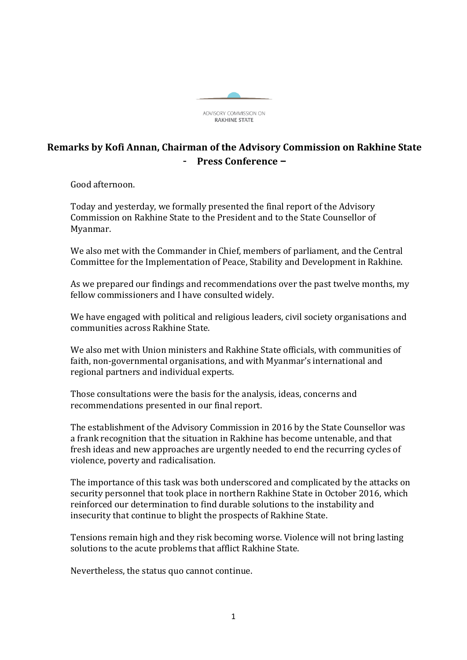

## **Remarks by Kofi Annan, Chairman of the Advisory Commission on Rakhine State** - **Press Conference –**

Good afternoon.

Today and yesterday, we formally presented the final report of the Advisory Commission on Rakhine State to the President and to the State Counsellor of Myanmar.

We also met with the Commander in Chief, members of parliament, and the Central Committee for the Implementation of Peace, Stability and Development in Rakhine.

As we prepared our findings and recommendations over the past twelve months, my fellow commissioners and I have consulted widely.

We have engaged with political and religious leaders, civil society organisations and communities across Rakhine State.

We also met with Union ministers and Rakhine State officials, with communities of faith, non-governmental organisations, and with Myanmar's international and regional partners and individual experts.

Those consultations were the basis for the analysis, ideas, concerns and recommendations presented in our final report.

The establishment of the Advisory Commission in 2016 by the State Counsellor was a frank recognition that the situation in Rakhine has become untenable, and that fresh ideas and new approaches are urgently needed to end the recurring cycles of violence, poverty and radicalisation.

The importance of this task was both underscored and complicated by the attacks on security personnel that took place in northern Rakhine State in October 2016, which reinforced our determination to find durable solutions to the instability and insecurity that continue to blight the prospects of Rakhine State.

Tensions remain high and they risk becoming worse. Violence will not bring lasting solutions to the acute problems that afflict Rakhine State.

Nevertheless, the status quo cannot continue.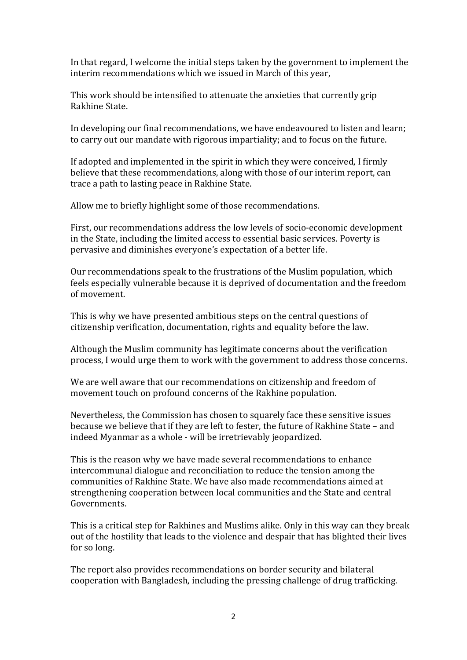In that regard, I welcome the initial steps taken by the government to implement the interim recommendations which we issued in March of this year,

This work should be intensified to attenuate the anxieties that currently grip Rakhine State.

In developing our final recommendations, we have endeavoured to listen and learn; to carry out our mandate with rigorous impartiality; and to focus on the future.

If adopted and implemented in the spirit in which they were conceived, I firmly believe that these recommendations, along with those of our interim report, can trace a path to lasting peace in Rakhine State.

Allow me to briefly highlight some of those recommendations.

First, our recommendations address the low levels of socio-economic development in the State, including the limited access to essential basic services. Poverty is pervasive and diminishes everyone's expectation of a better life.

Our recommendations speak to the frustrations of the Muslim population, which feels especially vulnerable because it is deprived of documentation and the freedom of movement.

This is why we have presented ambitious steps on the central questions of citizenship verification, documentation, rights and equality before the law.

Although the Muslim community has legitimate concerns about the verification process, I would urge them to work with the government to address those concerns.

We are well aware that our recommendations on citizenship and freedom of movement touch on profound concerns of the Rakhine population.

Nevertheless, the Commission has chosen to squarely face these sensitive issues because we believe that if they are left to fester, the future of Rakhine State – and indeed Myanmar as a whole - will be irretrievably jeopardized.

This is the reason why we have made several recommendations to enhance intercommunal dialogue and reconciliation to reduce the tension among the communities of Rakhine State. We have also made recommendations aimed at strengthening cooperation between local communities and the State and central Governments.

This is a critical step for Rakhines and Muslims alike. Only in this way can they break out of the hostility that leads to the violence and despair that has blighted their lives for so long.

The report also provides recommendations on border security and bilateral cooperation with Bangladesh, including the pressing challenge of drug trafficking.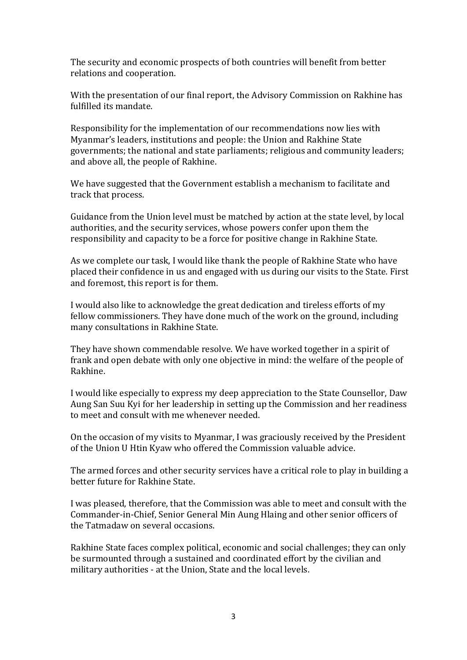The security and economic prospects of both countries will benefit from better relations and cooperation.

With the presentation of our final report, the Advisory Commission on Rakhine has fulfilled its mandate.

Responsibility for the implementation of our recommendations now lies with Myanmar's leaders, institutions and people: the Union and Rakhine State governments; the national and state parliaments; religious and community leaders; and above all, the people of Rakhine.

We have suggested that the Government establish a mechanism to facilitate and track that process.

Guidance from the Union level must be matched by action at the state level, by local authorities, and the security services, whose powers confer upon them the responsibility and capacity to be a force for positive change in Rakhine State.

As we complete our task, I would like thank the people of Rakhine State who have placed their confidence in us and engaged with us during our visits to the State. First and foremost, this report is for them.

I would also like to acknowledge the great dedication and tireless efforts of my fellow commissioners. They have done much of the work on the ground, including many consultations in Rakhine State.

They have shown commendable resolve. We have worked together in a spirit of frank and open debate with only one objective in mind: the welfare of the people of Rakhine.

I would like especially to express my deep appreciation to the State Counsellor, Daw Aung San Suu Kyi for her leadership in setting up the Commission and her readiness to meet and consult with me whenever needed.

On the occasion of my visits to Myanmar, I was graciously received by the President of the Union U Htin Kyaw who offered the Commission valuable advice.

The armed forces and other security services have a critical role to play in building a better future for Rakhine State.

I was pleased, therefore, that the Commission was able to meet and consult with the Commander-in-Chief, Senior General Min Aung Hlaing and other senior officers of the Tatmadaw on several occasions.

Rakhine State faces complex political, economic and social challenges; they can only be surmounted through a sustained and coordinated effort by the civilian and military authorities - at the Union, State and the local levels.